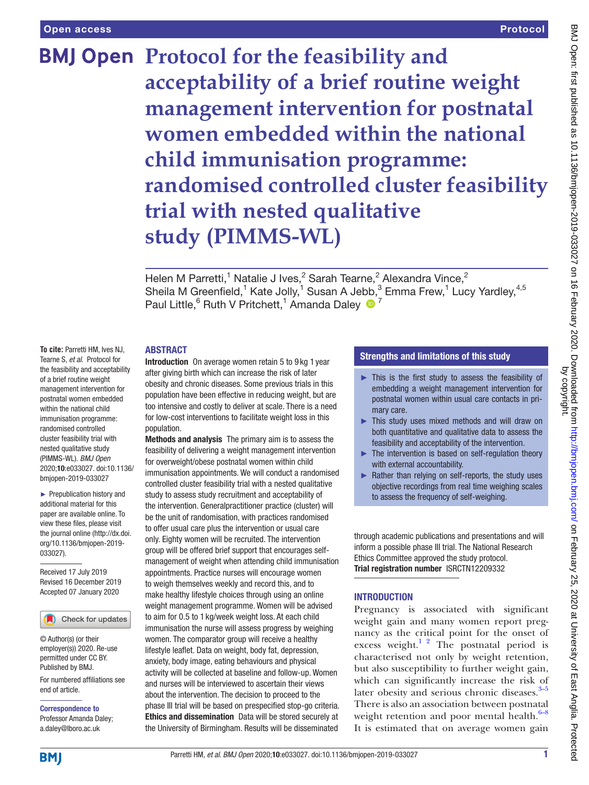# **BMJ Open Protocol for the feasibility and acceptability of a brief routine weight management intervention for postnatal women embedded within the national child immunisation programme: randomised controlled cluster feasibility trial with nested qualitative study (PIMMS-WL)**

Helen M Parretti,<sup>1</sup> Natalie J Ives,<sup>2</sup> Sarah Tearne,<sup>2</sup> Alexandra Vince,<sup>2</sup> Sheila M Greenfield,<sup>1</sup> Kate Jolly,<sup>1</sup> Susan A Jebb,<sup>3</sup> Emma Frew,<sup>1</sup> Lucy Yardley,<sup>4,5</sup> Paul Little, <sup>6</sup> Ruth V Pritchett, <sup>1</sup> Amanda Daley <sup>1</sup>

#### **ABSTRACT**

**To cite:** Parretti HM, Ives NJ, Tearne S, *et al*. Protocol for the feasibility and acceptability of a brief routine weight management intervention for postnatal women embedded within the national child immunisation programme: randomised controlled cluster feasibility trial with nested qualitative study (PIMMS-WL). *BMJ Open* 2020;10:e033027. doi:10.1136/ bmjopen-2019-033027

► Prepublication history and additional material for this paper are available online. To view these files, please visit the journal online (http://dx.doi. org/10.1136/bmjopen-2019- 033027).

Received 17 July 2019 Revised 16 December 2019 Accepted 07 January 2020

Check for updates

© Author(s) (or their employer(s)) 2020. Re-use permitted under CC BY. Published by BMJ.

For numbered affiliations see end of article.

Correspondence to Professor Amanda Daley; a.daley@lboro.ac.uk

Introduction On average women retain 5 to 9 kg 1 year after giving birth which can increase the risk of later obesity and chronic diseases. Some previous trials in this population have been effective in reducing weight, but are too intensive and costly to deliver at scale. There is a need for low-cost interventions to facilitate weight loss in this

population. Methods and analysis The primary aim is to assess the feasibility of delivering a weight management intervention for overweight/obese postnatal women within child immunisation appointments. We will conduct a randomised controlled cluster feasibility trial with a nested qualitative study to assess study recruitment and acceptability of the intervention. Generalpractitioner practice (cluster) will be the unit of randomisation, with practices randomised to offer usual care plus the intervention or usual care only. Eighty women will be recruited. The intervention group will be offered brief support that encourages selfmanagement of weight when attending child immunisation appointments. Practice nurses will encourage women to weigh themselves weekly and record this, and to make healthy lifestyle choices through using an online weight management programme. Women will be advised to aim for 0.5 to 1 kg/week weight loss. At each child immunisation the nurse will assess progress by weighing women. The comparator group will receive a healthy lifestyle leaflet. Data on weight, body fat, depression, anxiety, body image, eating behaviours and physical activity will be collected at baseline and follow-up. Women and nurses will be interviewed to ascertain their views about the intervention. The decision to proceed to the phase III trial will be based on prespecified stop-go criteria. Ethics and dissemination Data will be stored securely at the University of Birmingham. Results will be disseminated

# Strengths and limitations of this study

- ► This is the first study to assess the feasibility of embedding a weight management intervention for postnatal women within usual care contacts in primary care.
- ► This study uses mixed methods and will draw on both quantitative and qualitative data to assess the feasibility and acceptability of the intervention.
- ► The intervention is based on self-regulation theory with external accountability.
- ► Rather than relying on self-reports, the study uses objective recordings from real time weighing scales to assess the frequency of self-weighing.

through academic publications and presentations and will inform a possible phase III trial. The National Research Ethics Committee approved the study protocol. Trial registration number <ISRCTN12209332>

# **INTRODUCTION**

Pregnancy is associated with significant weight gain and many women report pregnancy as the critical point for the onset of excess weight.<sup>1 2</sup> The postnatal period is characterised not only by weight retention, but also susceptibility to further weight gain, which can significantly increase the risk of later obesity and serious chronic diseases. $3-5$ There is also an association between postnatal weight retention and poor mental health. $6-8$ It is estimated that on average women gain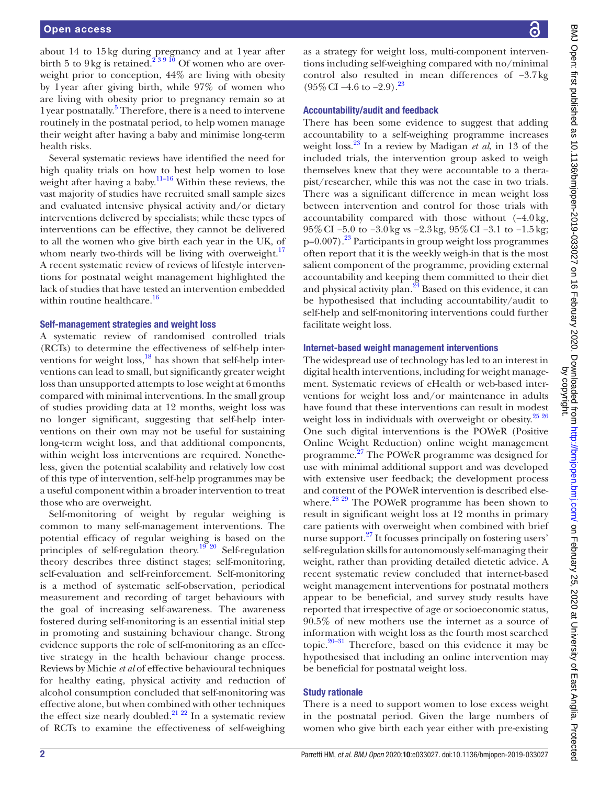about 14 to 15kg during pregnancy and at 1year after birth 5 to 9 kg is retained.<sup>239 10</sup> Of women who are overweight prior to conception, 44% are living with obesity by 1year after giving birth, while 97% of women who are living with obesity prior to pregnancy remain so at 1 year postnatally.<sup>[5](#page-7-4)</sup> Therefore, there is a need to intervene routinely in the postnatal period, to help women manage their weight after having a baby and minimise long-term health risks.

Several systematic reviews have identified the need for high quality trials on how to best help women to lose weight after having a baby.<sup>[11–16](#page-7-5)</sup> Within these reviews, the vast majority of studies have recruited small sample sizes and evaluated intensive physical activity and/or dietary interventions delivered by specialists; while these types of interventions can be effective, they cannot be delivered to all the women who give birth each year in the UK, of whom nearly two-thirds will be living with overweight. $17$ A recent systematic review of reviews of lifestyle interventions for postnatal weight management highlighted the lack of studies that have tested an intervention embedded within routine healthcare.<sup>[16](#page-7-7)</sup>

#### Self-management strategies and weight loss

A systematic review of randomised controlled trials (RCTs) to determine the effectiveness of self-help inter-ventions for weight loss,<sup>[18](#page-7-8)</sup> has shown that self-help interventions can lead to small, but significantly greater weight loss than unsupported attempts to lose weight at 6months compared with minimal interventions. In the small group of studies providing data at 12 months, weight loss was no longer significant, suggesting that self-help interventions on their own may not be useful for sustaining long-term weight loss, and that additional components, within weight loss interventions are required. Nonetheless, given the potential scalability and relatively low cost of this type of intervention, self-help programmes may be a useful component within a broader intervention to treat those who are overweight.

Self-monitoring of weight by regular weighing is common to many self-management interventions. The potential efficacy of regular weighing is based on the principles of self-regulation theory.[19 20](#page-7-9) Self-regulation theory describes three distinct stages; self-monitoring, self-evaluation and self-reinforcement. Self-monitoring is a method of systematic self-observation, periodical measurement and recording of target behaviours with the goal of increasing self-awareness. The awareness fostered during self-monitoring is an essential initial step in promoting and sustaining behaviour change. Strong evidence supports the role of self-monitoring as an effective strategy in the health behaviour change process. Reviews by Michie *et al* of effective behavioural techniques for healthy eating, physical activity and reduction of alcohol consumption concluded that self-monitoring was effective alone, but when combined with other techniques the effect size nearly doubled.<sup>21</sup>  $^{22}$  In a systematic review of RCTs to examine the effectiveness of self-weighing

as a strategy for weight loss, multi-component interventions including self-weighing compared with no/minimal control also resulted in mean differences of −3.7kg  $(95\% \text{ CI} - 4.6 \text{ to } -2.9).$ <sup>23</sup>

#### Accountability/audit and feedback

There has been some evidence to suggest that adding accountability to a self-weighing programme increases weight loss.[23](#page-7-11) In a review by Madigan *et al*, in 13 of the included trials, the intervention group asked to weigh themselves knew that they were accountable to a therapist/researcher, while this was not the case in two trials. There was a significant difference in mean weight loss between intervention and control for those trials with accountability compared with those without (−4.0kg, 95%CI −5.0 to −3.0kg vs −2.3kg, 95%CI −3.1 to −1.5kg;  $p=0.007$ ).<sup>23</sup> Participants in group weight loss programmes often report that it is the weekly weigh-in that is the most salient component of the programme, providing external accountability and keeping them committed to their diet and physical activity plan. $^{24}$  $^{24}$  $^{24}$  Based on this evidence, it can be hypothesised that including accountability/audit to self-help and self-monitoring interventions could further facilitate weight loss.

#### Internet-based weight management interventions

The widespread use of technology has led to an interest in digital health interventions, including for weight management. Systematic reviews of eHealth or web-based interventions for weight loss and/or maintenance in adults have found that these interventions can result in modest weight loss in individuals with overweight or obesity.<sup>[25 26](#page-7-13)</sup> One such digital interventions is the POWeR (Positive Online Weight Reduction) online weight management programme.[27](#page-7-14) The POWeR programme was designed for use with minimal additional support and was developed with extensive user feedback; the development process and content of the POWeR intervention is described else-where.<sup>[28 29](#page-7-15)</sup> The POWeR programme has been shown to result in significant weight loss at 12 months in primary care patients with overweight when combined with brief nurse support.<sup>27</sup> It focusses principally on fostering users' self-regulation skills for autonomously self-managing their weight, rather than providing detailed dietetic advice. A recent systematic review concluded that internet-based weight management interventions for postnatal mothers appear to be beneficial, and survey study results have reported that irrespective of age or socioeconomic status, 90.5% of new mothers use the internet as a source of information with weight loss as the fourth most searched topic. $20-31$  Therefore, based on this evidence it may be hypothesised that including an online intervention may be beneficial for postnatal weight loss.

#### Study rationale

There is a need to support women to lose excess weight in the postnatal period. Given the large numbers of women who give birth each year either with pre-existing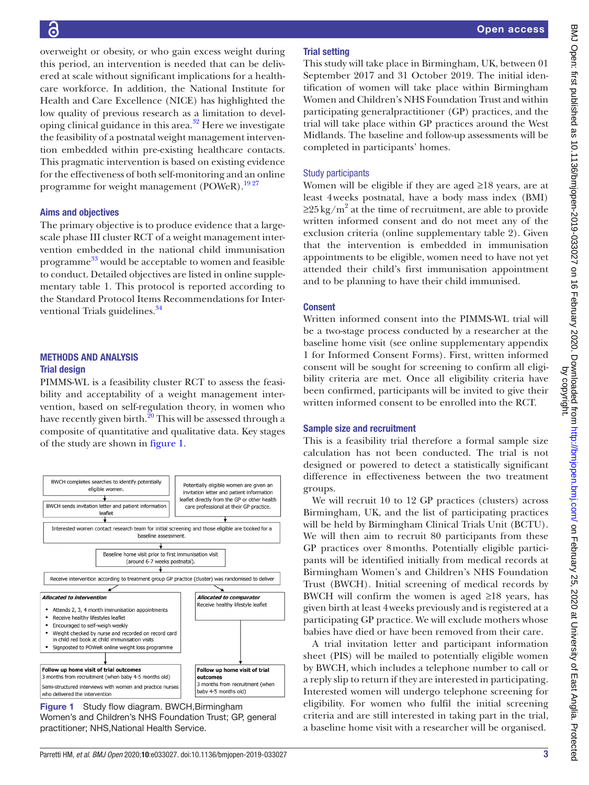# <u>ခြ</u>

overweight or obesity, or who gain excess weight during this period, an intervention is needed that can be delivered at scale without significant implications for a healthcare workforce. In addition, the National Institute for Health and Care Excellence (NICE) has highlighted the low quality of previous research as a limitation to developing clinical guidance in this area.<sup>32</sup> Here we investigate the feasibility of a postnatal weight management intervention embedded within pre-existing healthcare contacts. This pragmatic intervention is based on existing evidence for the effectiveness of both self-monitoring and an online programme for weight management (POWeR).<sup>1927</sup>

#### Aims and objectives

The primary objective is to produce evidence that a largescale phase III cluster RCT of a weight management intervention embedded in the national child immunisation programme [33](#page-7-18) would be acceptable to women and feasible to conduct. Detailed objectives are listed in [online supple](https://dx.doi.org/10.1136/bmjopen-2019-033027)[mentary table 1](https://dx.doi.org/10.1136/bmjopen-2019-033027). This protocol is reported according to the Standard Protocol Items Recommendations for Interventional Trials guidelines.<sup>34</sup>

#### Methods and analysis Trial design

PIMMS-WL is a feasibility cluster RCT to assess the feasibility and acceptability of a weight management intervention, based on self-regulation theory, in women who have recently given birth.<sup>20</sup> This will be assessed through a composite of quantitative and qualitative data. Key stages of the study are shown in [figure](#page-2-0) 1.



<span id="page-2-0"></span>Figure 1 Study flow diagram. BWCH, Birmingham Women's and Children's NHS Foundation Trust; GP, general practitioner; NHS,National Health Service.

# Trial setting

This study will take place in Birmingham, UK, between 01 September 2017 and 31 October 2019. The initial identification of women will take place within Birmingham Women and Children's NHS Foundation Trust and within participating generalpractitioner (GP) practices, and the trial will take place within GP practices around the West Midlands. The baseline and follow-up assessments will be completed in participants' homes.

# Study participants

Women will be eligible if they are aged ≥18 years, are at least 4weeks postnatal, have a body mass index (BMI)  $\geq$ 25 kg/m<sup>2</sup> at the time of recruitment, are able to provide written informed consent and do not meet any of the exclusion criteria [\(online supplementary table 2](https://dx.doi.org/10.1136/bmjopen-2019-033027)). Given that the intervention is embedded in immunisation appointments to be eligible, women need to have not yet attended their child's first immunisation appointment and to be planning to have their child immunised.

# Consent

Written informed consent into the PIMMS-WL trial will be a two-stage process conducted by a researcher at the baseline home visit (see [online supplementary appendix](https://dx.doi.org/10.1136/bmjopen-2019-033027)  [1](https://dx.doi.org/10.1136/bmjopen-2019-033027) for Informed Consent Forms). First, written informed consent will be sought for screening to confirm all eligibility criteria are met. Once all eligibility criteria have been confirmed, participants will be invited to give their written informed consent to be enrolled into the RCT.

# Sample size and recruitment

This is a feasibility trial therefore a formal sample size calculation has not been conducted. The trial is not designed or powered to detect a statistically significant difference in effectiveness between the two treatment groups.

We will recruit 10 to 12 GP practices (clusters) across Birmingham, UK, and the list of participating practices will be held by Birmingham Clinical Trials Unit (BCTU). We will then aim to recruit 80 participants from these GP practices over 8months. Potentially eligible participants will be identified initially from medical records at Birmingham Women's and Children's NHS Foundation Trust (BWCH). Initial screening of medical records by BWCH will confirm the women is aged  $\geq 18$  years, has given birth at least 4weeks previously and is registered at a participating GP practice. We will exclude mothers whose babies have died or have been removed from their care.

A trial invitation letter and participant information sheet (PIS) will be mailed to potentially eligible women by BWCH, which includes a telephone number to call or a reply slip to return if they are interested in participating. Interested women will undergo telephone screening for eligibility. For women who fulfil the initial screening criteria and are still interested in taking part in the trial, a baseline home visit with a researcher will be organised.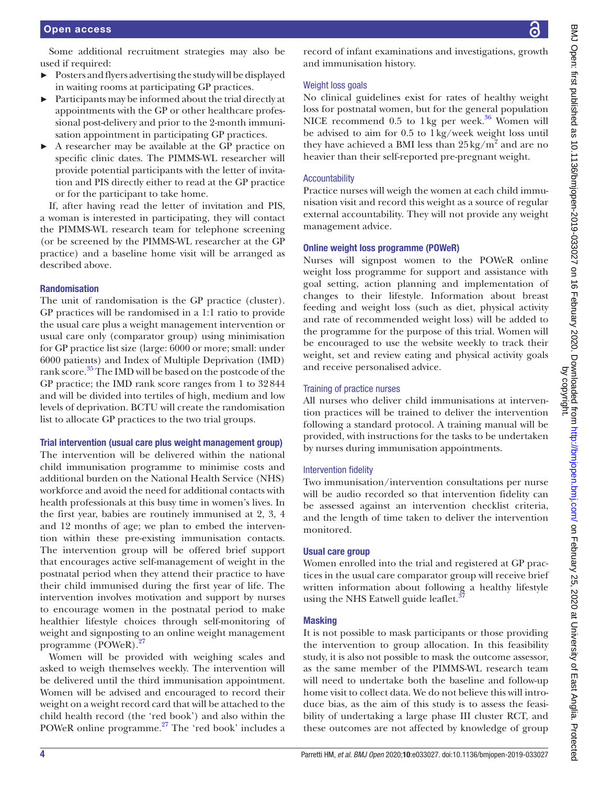Some additional recruitment strategies may also be used if required:

- ► Posters and flyers advertising the study will be displayed in waiting rooms at participating GP practices.
- ► Participants may be informed about the trial directly at appointments with the GP or other healthcare professional post-delivery and prior to the 2-month immunisation appointment in participating GP practices.
- ► A researcher may be available at the GP practice on specific clinic dates. The PIMMS-WL researcher will provide potential participants with the letter of invitation and PIS directly either to read at the GP practice or for the participant to take home.

If, after having read the letter of invitation and PIS, a woman is interested in participating, they will contact the PIMMS-WL research team for telephone screening (or be screened by the PIMMS-WL researcher at the GP practice) and a baseline home visit will be arranged as described above.

#### Randomisation

The unit of randomisation is the GP practice (cluster). GP practices will be randomised in a 1:1 ratio to provide the usual care plus a weight management intervention or usual care only (comparator group) using minimisation for GP practice list size (large: 6000 or more; small: under 6000 patients) and Index of Multiple Deprivation (IMD) rank score.<sup>35</sup> The IMD will be based on the postcode of the GP practice; the IMD rank score ranges from 1 to 32844 and will be divided into tertiles of high, medium and low levels of deprivation. BCTU will create the randomisation list to allocate GP practices to the two trial groups.

#### Trial intervention (usual care plus weight management group)

The intervention will be delivered within the national child immunisation programme to minimise costs and additional burden on the National Health Service (NHS) workforce and avoid the need for additional contacts with health professionals at this busy time in women's lives. In the first year, babies are routinely immunised at 2, 3, 4 and 12 months of age; we plan to embed the intervention within these pre-existing immunisation contacts. The intervention group will be offered brief support that encourages active self-management of weight in the postnatal period when they attend their practice to have their child immunised during the first year of life. The intervention involves motivation and support by nurses to encourage women in the postnatal period to make healthier lifestyle choices through self-monitoring of weight and signposting to an online weight management programme (POWeR)[.27](#page-7-14)

Women will be provided with weighing scales and asked to weigh themselves weekly. The intervention will be delivered until the third immunisation appointment. Women will be advised and encouraged to record their weight on a weight record card that will be attached to the child health record (the 'red book') and also within the POWeR online programme.<sup>[27](#page-7-14)</sup> The 'red book' includes a

record of infant examinations and investigations, growth and immunisation history.

# Weight loss goals

No clinical guidelines exist for rates of healthy weight loss for postnatal women, but for the general population NICE recommend  $0.5$  to 1 kg per week.<sup>36</sup> Women will be advised to aim for 0.5 to 1kg/week weight loss until they have achieved a BMI less than  $25 \text{ kg/m}^2$  and are no heavier than their self-reported pre-pregnant weight.

# Accountability

Practice nurses will weigh the women at each child immunisation visit and record this weight as a source of regular external accountability. They will not provide any weight management advice.

# Online weight loss programme (POWeR)

Nurses will signpost women to the POWeR online weight loss programme for support and assistance with goal setting, action planning and implementation of changes to their lifestyle. Information about breast feeding and weight loss (such as diet, physical activity and rate of recommended weight loss) will be added to the programme for the purpose of this trial. Women will be encouraged to use the website weekly to track their weight, set and review eating and physical activity goals and receive personalised advice.

# Training of practice nurses

All nurses who deliver child immunisations at intervention practices will be trained to deliver the intervention following a standard protocol. A training manual will be provided, with instructions for the tasks to be undertaken by nurses during immunisation appointments.

# Intervention fidelity

Two immunisation/intervention consultations per nurse will be audio recorded so that intervention fidelity can be assessed against an intervention checklist criteria, and the length of time taken to deliver the intervention monitored.

#### Usual care group

Women enrolled into the trial and registered at GP practices in the usual care comparator group will receive brief written information about following a healthy lifestyle using the NHS Eatwell guide leaflet.<sup>3</sup>

# **Masking**

It is not possible to mask participants or those providing the intervention to group allocation. In this feasibility study, it is also not possible to mask the outcome assessor, as the same member of the PIMMS-WL research team will need to undertake both the baseline and follow-up home visit to collect data. We do not believe this will introduce bias, as the aim of this study is to assess the feasibility of undertaking a large phase III cluster RCT, and these outcomes are not affected by knowledge of group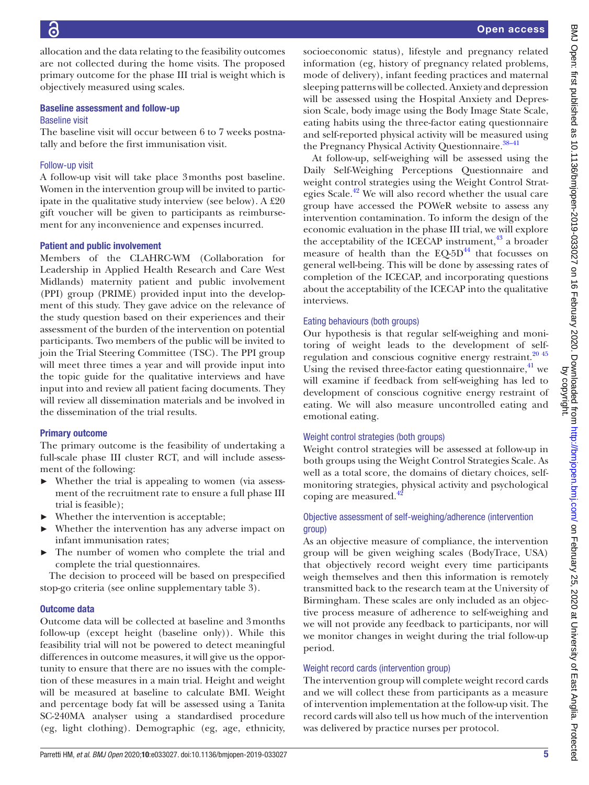Õ

Open access

BMJ Open: first published as 10.1136/bmiopen-2019-033027 on 16 February 2020. Downloaded from http://bmjopen.bmj.com/ on February 25, 2020 at University of East Anglia. Protected<br>by copyright published as 10.1136/bmjopen-2 BMJ Open: first published as 10.1136/bmjopen-2019-033027 on 16 February 2020. Downloaded from <http://bmjopen.bmj.com/> on February 25, 2020 at University of East Anglia. Protected by copyright.

allocation and the data relating to the feasibility outcomes are not collected during the home visits. The proposed primary outcome for the phase III trial is weight which is objectively measured using scales.

#### Baseline assessment and follow-up Baseline visit

The baseline visit will occur between 6 to 7 weeks postnatally and before the first immunisation visit.

# Follow-up visit

A follow-up visit will take place 3months post baseline. Women in the intervention group will be invited to participate in the qualitative study interview (see below). A £20 gift voucher will be given to participants as reimbursement for any inconvenience and expenses incurred.

# Patient and public involvement

Members of the CLAHRC-WM (Collaboration for Leadership in Applied Health Research and Care West Midlands) maternity patient and public involvement (PPI) group (PRIME) provided input into the development of this study. They gave advice on the relevance of the study question based on their experiences and their assessment of the burden of the intervention on potential participants. Two members of the public will be invited to join the Trial Steering Committee (TSC). The PPI group will meet three times a year and will provide input into the topic guide for the qualitative interviews and have input into and review all patient facing documents. They will review all dissemination materials and be involved in the dissemination of the trial results.

# Primary outcome

The primary outcome is the feasibility of undertaking a full-scale phase III cluster RCT, and will include assessment of the following:

- Whether the trial is appealing to women (via assessment of the recruitment rate to ensure a full phase III trial is feasible);
- Whether the intervention is acceptable;
- Whether the intervention has any adverse impact on infant immunisation rates;
- The number of women who complete the trial and complete the trial questionnaires.

The decision to proceed will be based on prespecified stop-go criteria (see [online supplementary table 3](https://dx.doi.org/10.1136/bmjopen-2019-033027)).

# Outcome data

Outcome data will be collected at baseline and 3months follow-up (except height (baseline only)). While this feasibility trial will not be powered to detect meaningful differences in outcome measures, it will give us the opportunity to ensure that there are no issues with the completion of these measures in a main trial. Height and weight will be measured at baseline to calculate BMI. Weight and percentage body fat will be assessed using a Tanita SC-240MA analyser using a standardised procedure (eg, light clothing). Demographic (eg, age, ethnicity,

socioeconomic status), lifestyle and pregnancy related information (eg, history of pregnancy related problems, mode of delivery), infant feeding practices and maternal sleeping patterns will be collected. Anxiety and depression will be assessed using the Hospital Anxiety and Depression Scale, body image using the Body Image State Scale, eating habits using the three-factor eating questionnaire and self-reported physical activity will be measured using the Pregnancy Physical Activity Questionnaire.<sup>38–41</sup>

At follow-up, self-weighing will be assessed using the Daily Self-Weighing Perceptions Questionnaire and weight control strategies using the Weight Control Strategies Scale.<sup>42</sup> We will also record whether the usual care group have accessed the POWeR website to assess any intervention contamination. To inform the design of the economic evaluation in the phase III trial, we will explore the acceptability of the ICECAP instrument, $43$  a broader measure of health than the  $EQ-5D<sup>44</sup>$  that focusses on general well-being. This will be done by assessing rates of completion of the ICECAP, and incorporating questions about the acceptability of the ICECAP into the qualitative interviews.

# Eating behaviours (both groups)

Our hypothesis is that regular self-weighing and monitoring of weight leads to the development of self-regulation and conscious cognitive energy restraint.<sup>[20 45](#page-7-16)</sup> Using the revised three-factor eating questionnaire, $4^1$  we will examine if feedback from self-weighing has led to development of conscious cognitive energy restraint of eating. We will also measure uncontrolled eating and emotional eating.

# Weight control strategies (both groups)

Weight control strategies will be assessed at follow-up in both groups using the Weight Control Strategies Scale. As well as a total score, the domains of dietary choices, selfmonitoring strategies, physical activity and psychological coping are measured.

# Objective assessment of self-weighing/adherence (intervention group)

As an objective measure of compliance, the intervention group will be given weighing scales (BodyTrace, USA) that objectively record weight every time participants weigh themselves and then this information is remotely transmitted back to the research team at the University of Birmingham. These scales are only included as an objective process measure of adherence to self-weighing and we will not provide any feedback to participants, nor will we monitor changes in weight during the trial follow-up period.

# Weight record cards (intervention group)

The intervention group will complete weight record cards and we will collect these from participants as a measure of intervention implementation at the follow-up visit. The record cards will also tell us how much of the intervention was delivered by practice nurses per protocol.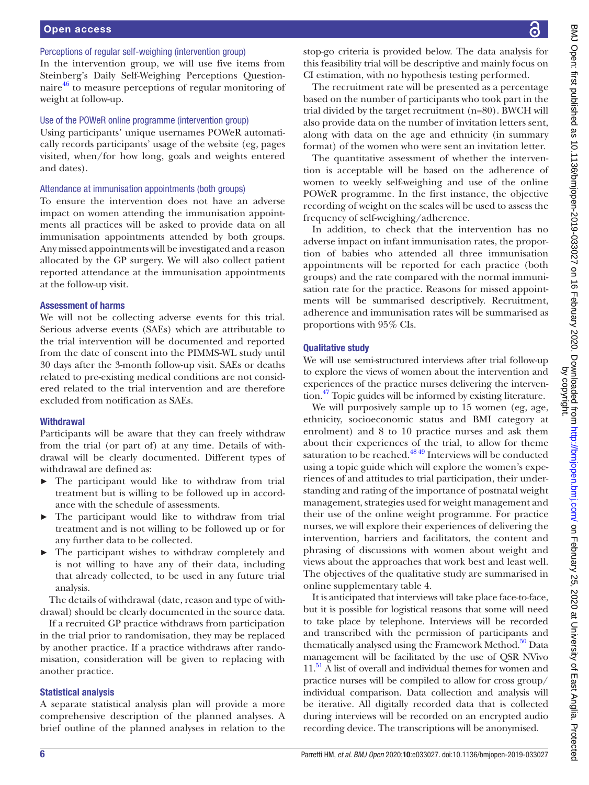#### Perceptions of regular self-weighing (intervention group)

In the intervention group, we will use five items from Steinberg's Daily Self-Weighing Perceptions Questionnaire<sup>46</sup> to measure perceptions of regular monitoring of weight at follow-up.

# Use of the POWeR online programme (intervention group)

Using participants' unique usernames POWeR automatically records participants' usage of the website (eg, pages visited, when/for how long, goals and weights entered and dates).

#### Attendance at immunisation appointments (both groups)

To ensure the intervention does not have an adverse impact on women attending the immunisation appointments all practices will be asked to provide data on all immunisation appointments attended by both groups. Any missed appointments will be investigated and a reason allocated by the GP surgery. We will also collect patient reported attendance at the immunisation appointments at the follow-up visit.

#### Assessment of harms

We will not be collecting adverse events for this trial. Serious adverse events (SAEs) which are attributable to the trial intervention will be documented and reported from the date of consent into the PIMMS-WL study until 30 days after the 3-month follow-up visit. SAEs or deaths related to pre-existing medical conditions are not considered related to the trial intervention and are therefore excluded from notification as SAEs.

#### **Withdrawal**

Participants will be aware that they can freely withdraw from the trial (or part of) at any time. Details of withdrawal will be clearly documented. Different types of withdrawal are defined as:

- ► The participant would like to withdraw from trial treatment but is willing to be followed up in accordance with the schedule of assessments.
- ► The participant would like to withdraw from trial treatment and is not willing to be followed up or for any further data to be collected.
- The participant wishes to withdraw completely and is not willing to have any of their data, including that already collected, to be used in any future trial analysis.

The details of withdrawal (date, reason and type of withdrawal) should be clearly documented in the source data.

If a recruited GP practice withdraws from participation in the trial prior to randomisation, they may be replaced by another practice. If a practice withdraws after randomisation, consideration will be given to replacing with another practice.

#### Statistical analysis

A separate statistical analysis plan will provide a more comprehensive description of the planned analyses. A brief outline of the planned analyses in relation to the stop-go criteria is provided below. The data analysis for this feasibility trial will be descriptive and mainly focus on CI estimation, with no hypothesis testing performed.

The recruitment rate will be presented as a percentage based on the number of participants who took part in the trial divided by the target recruitment (n=80). BWCH will also provide data on the number of invitation letters sent, along with data on the age and ethnicity (in summary format) of the women who were sent an invitation letter.

The quantitative assessment of whether the intervention is acceptable will be based on the adherence of women to weekly self-weighing and use of the online POWeR programme. In the first instance, the objective recording of weight on the scales will be used to assess the frequency of self-weighing/adherence.

In addition, to check that the intervention has no adverse impact on infant immunisation rates, the proportion of babies who attended all three immunisation appointments will be reported for each practice (both groups) and the rate compared with the normal immunisation rate for the practice. Reasons for missed appointments will be summarised descriptively. Recruitment, adherence and immunisation rates will be summarised as proportions with 95% CIs.

#### Qualitative study

We will use semi-structured interviews after trial follow-up to explore the views of women about the intervention and experiences of the practice nurses delivering the intervention[.47](#page-7-29) Topic guides will be informed by existing literature.

We will purposively sample up to 15 women (eg, age, ethnicity, socioeconomic status and BMI category at enrolment) and 8 to 10 practice nurses and ask them about their experiences of the trial, to allow for theme saturation to be reached.<sup>48 49</sup> Interviews will be conducted using a topic guide which will explore the women's experiences of and attitudes to trial participation, their understanding and rating of the importance of postnatal weight management, strategies used for weight management and their use of the online weight programme. For practice nurses, we will explore their experiences of delivering the intervention, barriers and facilitators, the content and phrasing of discussions with women about weight and views about the approaches that work best and least well. The objectives of the qualitative study are summarised in [online supplementary table 4](https://dx.doi.org/10.1136/bmjopen-2019-033027).

It is anticipated that interviews will take place face-to-face, but it is possible for logistical reasons that some will need to take place by telephone. Interviews will be recorded and transcribed with the permission of participants and thematically analysed using the Framework Method.<sup>50</sup> Data management will be facilitated by the use of QSR NVivo 11.<sup>51</sup> A list of overall and individual themes for women and practice nurses will be compiled to allow for cross group/ individual comparison. Data collection and analysis will be iterative. All digitally recorded data that is collected during interviews will be recorded on an encrypted audio recording device. The transcriptions will be anonymised.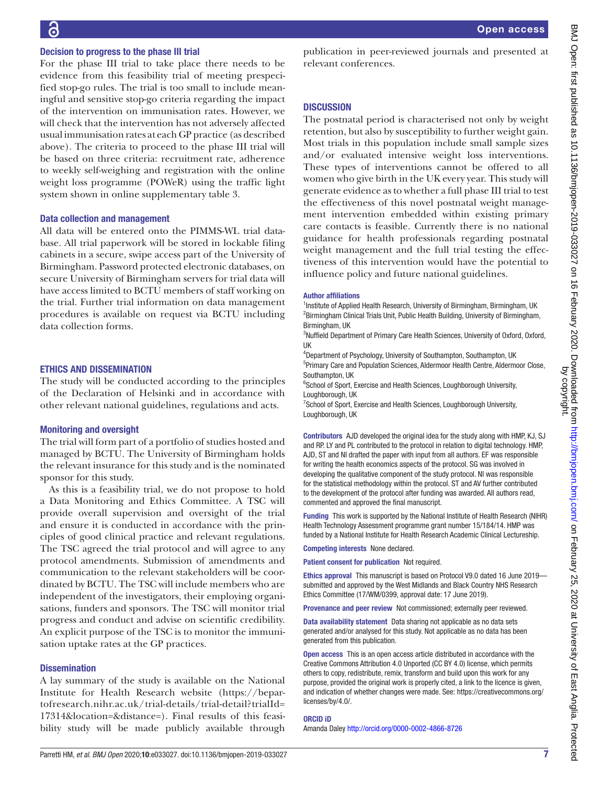#### Decision to progress to the phase III trial

For the phase III trial to take place there needs to be evidence from this feasibility trial of meeting prespecified stop-go rules. The trial is too small to include meaningful and sensitive stop-go criteria regarding the impact of the intervention on immunisation rates. However, we will check that the intervention has not adversely affected usual immunisation rates at each GP practice (as described above). The criteria to proceed to the phase III trial will be based on three criteria: recruitment rate, adherence to weekly self-weighing and registration with the online weight loss programme (POWeR) using the traffic light system shown in [online supplementary table 3](https://dx.doi.org/10.1136/bmjopen-2019-033027).

#### Data collection and management

All data will be entered onto the PIMMS-WL trial database. All trial paperwork will be stored in lockable filing cabinets in a secure, swipe access part of the University of Birmingham. Password protected electronic databases, on secure University of Birmingham servers for trial data will have access limited to BCTU members of staff working on the trial. Further trial information on data management procedures is available on request via BCTU including data collection forms.

#### Ethics and dissemination

The study will be conducted according to the principles of the Declaration of Helsinki and in accordance with other relevant national guidelines, regulations and acts.

#### Monitoring and oversight

The trial will form part of a portfolio of studies hosted and managed by BCTU. The University of Birmingham holds the relevant insurance for this study and is the nominated sponsor for this study.

As this is a feasibility trial, we do not propose to hold a Data Monitoring and Ethics Committee. A TSC will provide overall supervision and oversight of the trial and ensure it is conducted in accordance with the principles of good clinical practice and relevant regulations. The TSC agreed the trial protocol and will agree to any protocol amendments. Submission of amendments and communication to the relevant stakeholders will be coordinated by BCTU. The TSC will include members who are independent of the investigators, their employing organisations, funders and sponsors. The TSC will monitor trial progress and conduct and advise on scientific credibility. An explicit purpose of the TSC is to monitor the immunisation uptake rates at the GP practices.

#### **Dissemination**

A lay summary of the study is available on the National Institute for Health Research website [\(https://bepar](https://bepartofresearch.nihr.ac.uk/trial-details/trial-detail?trialId=17314&location=&distance=)[tofresearch.nihr.ac.uk/trial-details/trial-detail?trialId=](https://bepartofresearch.nihr.ac.uk/trial-details/trial-detail?trialId=17314&location=&distance=) [17314&location=&distance=\)](https://bepartofresearch.nihr.ac.uk/trial-details/trial-detail?trialId=17314&location=&distance=). Final results of this feasibility study will be made publicly available through

Open access

publication in peer-reviewed journals and presented at relevant conferences.

#### **DISCUSSION**

The postnatal period is characterised not only by weight retention, but also by susceptibility to further weight gain. Most trials in this population include small sample sizes and/or evaluated intensive weight loss interventions. These types of interventions cannot be offered to all women who give birth in the UK every year. This study will generate evidence as to whether a full phase III trial to test the effectiveness of this novel postnatal weight management intervention embedded within existing primary care contacts is feasible. Currently there is no national guidance for health professionals regarding postnatal weight management and the full trial testing the effectiveness of this intervention would have the potential to influence policy and future national guidelines.

#### Author affiliations

<sup>1</sup>Institute of Applied Health Research, University of Birmingham, Birmingham, UK <sup>2</sup> Birmingham Clinical Trials Unit, Public Health Building, University of Birmingham, Birmingham, UK

<sup>3</sup>Nuffield Department of Primary Care Health Sciences, University of Oxford, Oxford, UK

4 Department of Psychology, University of Southampton, Southampton, UK

5 Primary Care and Population Sciences, Aldermoor Health Centre, Aldermoor Close, Southampton, UK

<sup>6</sup>School of Sport, Exercise and Health Sciences, Loughborough University, Loughborough, UK

<sup>7</sup> School of Sport, Exercise and Health Sciences, Loughborough University, Loughborough, UK

Contributors AJD developed the original idea for the study along with HMP, KJ, SJ and RP. LY and PL contributed to the protocol in relation to digital technology. HMP, AJD, ST and NI drafted the paper with input from all authors. EF was responsible for writing the health economics aspects of the protocol. SG was involved in developing the qualitative component of the study protocol. NI was responsible for the statistical methodology within the protocol. ST and AV further contributed to the development of the protocol after funding was awarded. All authors read, commented and approved the final manuscript.

Funding This work is supported by the National Institute of Health Research (NIHR) Health Technology Assessment programme grant number 15/184/14. HMP was funded by a National Institute for Health Research Academic Clinical Lectureship.

Competing interests None declared.

Patient consent for publication Not required.

Ethics approval This manuscript is based on Protocol V9.0 dated 16 June 2019 submitted and approved by the West Midlands and Black Country NHS Research Ethics Committee (17/WM/0399, approval date: 17 June 2019).

Provenance and peer review Not commissioned; externally peer reviewed.

Data availability statement Data sharing not applicable as no data sets generated and/or analysed for this study. Not applicable as no data has been generated from this publication.

Open access This is an open access article distributed in accordance with the Creative Commons Attribution 4.0 Unported (CC BY 4.0) license, which permits others to copy, redistribute, remix, transform and build upon this work for any purpose, provided the original work is properly cited, a link to the licence is given, and indication of whether changes were made. See: [https://creativecommons.org/](https://creativecommons.org/licenses/by/4.0/) [licenses/by/4.0/](https://creativecommons.org/licenses/by/4.0/).

#### ORCID iD

Amanda Daley<http://orcid.org/0000-0002-4866-8726>